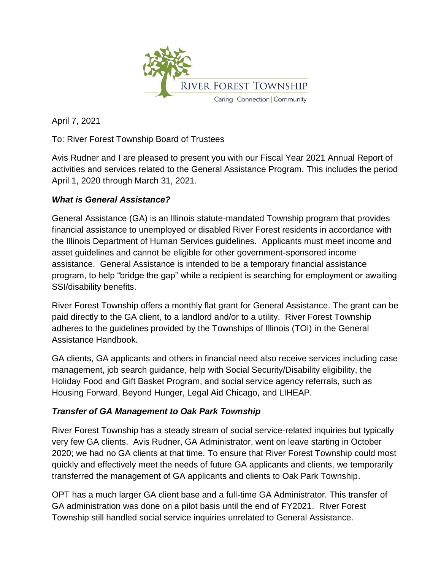

April 7, 2021

To: River Forest Township Board of Trustees

Avis Rudner and I are pleased to present you with our Fiscal Year 2021 Annual Report of activities and services related to the General Assistance Program. This includes the period April 1, 2020 through March 31, 2021.

## *What is General Assistance?*

General Assistance (GA) is an Illinois statute-mandated Township program that provides financial assistance to unemployed or disabled River Forest residents in accordance with the Illinois Department of Human Services guidelines. Applicants must meet income and asset guidelines and cannot be eligible for other government-sponsored income assistance. General Assistance is intended to be a temporary financial assistance program, to help "bridge the gap" while a recipient is searching for employment or awaiting SSI/disability benefits.

River Forest Township offers a monthly flat grant for General Assistance. The grant can be paid directly to the GA client, to a landlord and/or to a utility. River Forest Township adheres to the guidelines provided by the Townships of Illinois (TOI) in the General Assistance Handbook.

GA clients, GA applicants and others in financial need also receive services including case management, job search guidance, help with Social Security/Disability eligibility, the Holiday Food and Gift Basket Program, and social service agency referrals, such as Housing Forward, Beyond Hunger, Legal Aid Chicago, and LIHEAP.

## *Transfer of GA Management to Oak Park Township*

River Forest Township has a steady stream of social service-related inquiries but typically very few GA clients. Avis Rudner, GA Administrator, went on leave starting in October 2020; we had no GA clients at that time. To ensure that River Forest Township could most quickly and effectively meet the needs of future GA applicants and clients, we temporarily transferred the management of GA applicants and clients to Oak Park Township.

OPT has a much larger GA client base and a full-time GA Administrator. This transfer of GA administration was done on a pilot basis until the end of FY2021. River Forest Township still handled social service inquiries unrelated to General Assistance.